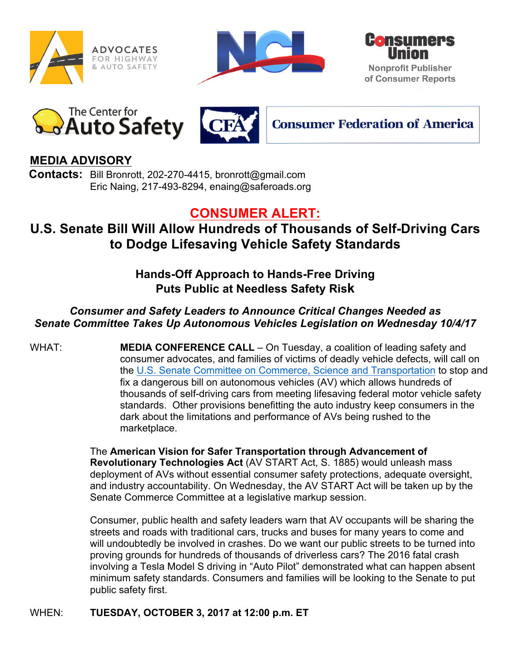









**Consumer Federation of America** 

### **MEDIA ADVISORY**

 **Contacts:** Bill Bronrott, 202-270-4415, bronrott@gmail.com Eric Naing, 217-493-8294, enaing@saferoads.org

## **CONSUMER ALERT:**

# **U.S. Senate Bill Will Allow Hundreds of Thousands of Self-Driving Cars to Dodge Lifesaving Vehicle Safety Standards**

## **Hands-Off Approach to Hands-Free Driving Puts Public at Needless Safety Risk**

### *Consumer and Safety Leaders to Announce Critical Changes Needed as Senate Committee Takes Up Autonomous Vehicles Legislation on Wednesday 10/4/17*

WHAT: **MEDIA CONFERENCE CALL** – On Tuesday, a coalition of leading safety and consumer advocates, and families of victims of deadly vehicle defects, will call on the U.S. Senate Committee on Commerce, Science and Transportation to stop and fix a dangerous bill on autonomous vehicles (AV) which allows hundreds of thousands of self-driving cars from meeting lifesaving federal motor vehicle safety standards. Other provisions benefitting the auto industry keep consumers in the dark about the limitations and performance of AVs being rushed to the marketplace.

> The **American Vision for Safer Transportation through Advancement of Revolutionary Technologies Act** (AV START Act, S. 1885) would unleash mass deployment of AVs without essential consumer safety protections, adequate oversight, and industry accountability. On Wednesday, the AV START Act will be taken up by the Senate Commerce Committee at a legislative markup session.

> Consumer, public health and safety leaders warn that AV occupants will be sharing the streets and roads with traditional cars, trucks and buses for many years to come and will undoubtedly be involved in crashes. Do we want our public streets to be turned into proving grounds for hundreds of thousands of driverless cars? The 2016 fatal crash involving a Tesla Model S driving in "Auto Pilot" demonstrated what can happen absent minimum safety standards. Consumers and families will be looking to the Senate to put public safety first.

WHEN: **TUESDAY, OCTOBER 3, 2017 at 12:00 p.m. ET**